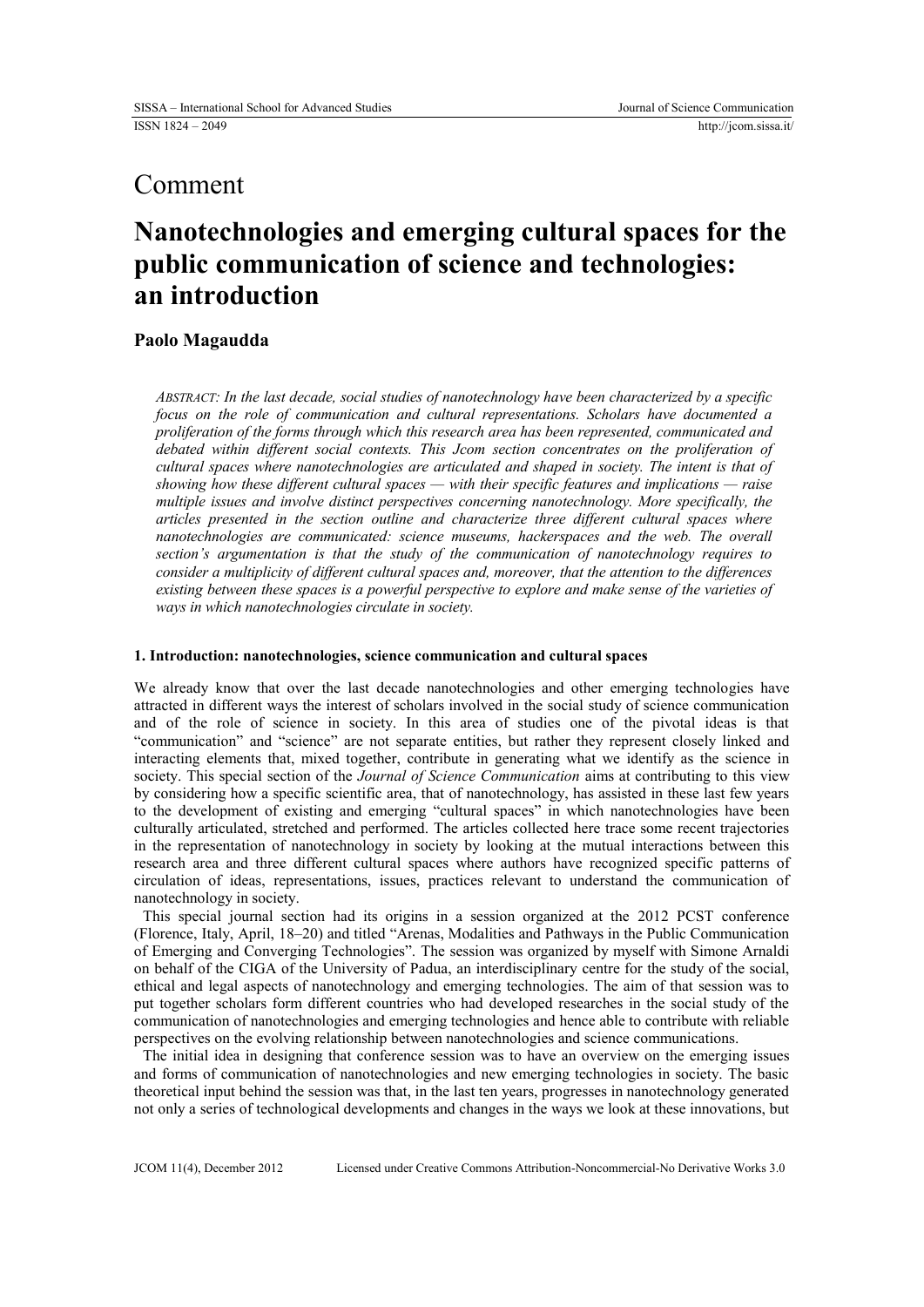## Comment

# **Nanotechnologies and emerging cultural spaces for the public communication of science and technologies: an introduction**

## **Paolo Magaudda**

*ABSTRACT: In the last decade, social studies of nanotechnology have been characterized by a specific focus on the role of communication and cultural representations. Scholars have documented a proliferation of the forms through which this research area has been represented, communicated and debated within different social contexts. This Jcom section concentrates on the proliferation of cultural spaces where nanotechnologies are articulated and shaped in society. The intent is that of showing how these different cultural spaces — with their specific features and implications — raise multiple issues and involve distinct perspectives concerning nanotechnology. More specifically, the articles presented in the section outline and characterize three different cultural spaces where nanotechnologies are communicated: science museums, hackerspaces and the web. The overall section's argumentation is that the study of the communication of nanotechnology requires to consider a multiplicity of different cultural spaces and, moreover, that the attention to the differences existing between these spaces is a powerful perspective to explore and make sense of the varieties of ways in which nanotechnologies circulate in society.*

## **1. Introduction: nanotechnologies, science communication and cultural spaces**

We already know that over the last decade nanotechnologies and other emerging technologies have attracted in different ways the interest of scholars involved in the social study of science communication and of the role of science in society. In this area of studies one of the pivotal ideas is that "communication" and "science" are not separate entities, but rather they represent closely linked and interacting elements that, mixed together, contribute in generating what we identify as the science in society. This special section of the *Journal of Science Communication* aims at contributing to this view by considering how a specific scientific area, that of nanotechnology, has assisted in these last few years to the development of existing and emerging "cultural spaces" in which nanotechnologies have been culturally articulated, stretched and performed. The articles collected here trace some recent trajectories in the representation of nanotechnology in society by looking at the mutual interactions between this research area and three different cultural spaces where authors have recognized specific patterns of circulation of ideas, representations, issues, practices relevant to understand the communication of nanotechnology in society.

This special journal section had its origins in a session organized at the 2012 PCST conference (Florence, Italy, April, 18–20) and titled "Arenas, Modalities and Pathways in the Public Communication of Emerging and Converging Technologies". The session was organized by myself with Simone Arnaldi on behalf of the CIGA of the University of Padua, an interdisciplinary centre for the study of the social, ethical and legal aspects of nanotechnology and emerging technologies. The aim of that session was to put together scholars form different countries who had developed researches in the social study of the communication of nanotechnologies and emerging technologies and hence able to contribute with reliable perspectives on the evolving relationship between nanotechnologies and science communications.

The initial idea in designing that conference session was to have an overview on the emerging issues and forms of communication of nanotechnologies and new emerging technologies in society. The basic theoretical input behind the session was that, in the last ten years, progresses in nanotechnology generated not only a series of technological developments and changes in the ways we look at these innovations, but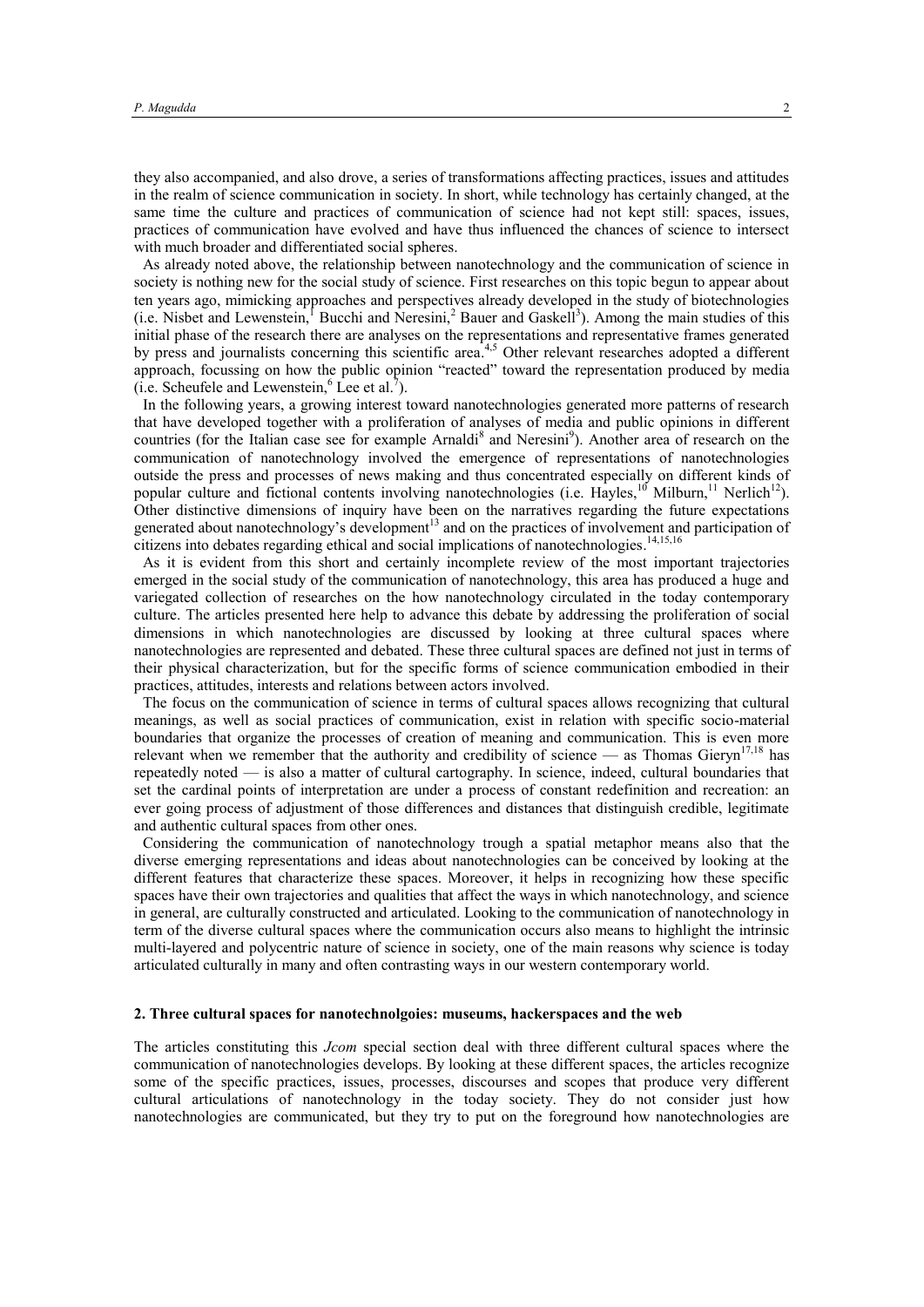they also accompanied, and also drove, a series of transformations affecting practices, issues and attitudes in the realm of science communication in society. In short, while technology has certainly changed, at the same time the culture and practices of communication of science had not kept still: spaces, issues, practices of communication have evolved and have thus influenced the chances of science to intersect with much broader and differentiated social spheres.

As already noted above, the relationship between nanotechnology and the communication of science in society is nothing new for the social study of science. First researches on this topic begun to appear about ten years ago, mimicking approaches and perspectives already developed in the study of biotechnologies  $(i.e.$  Nisbet and Lewenstein,<sup>1</sup> Bucchi and Neresini,<sup>2</sup> Bauer and Gaskell<sup>3</sup>). Among the main studies of this initial phase of the research there are analyses on the representations and representative frames generated by press and journalists concerning this scientific area.<sup>4,5</sup> Other relevant researches adopted a different approach, focussing on how the public opinion "reacted" toward the representation produced by media  $(i.e.$  Scheufele and Lewenstein,  $6$  Lee et al.<sup>7</sup>).

In the following years, a growing interest toward nanotechnologies generated more patterns of research that have developed together with a proliferation of analyses of media and public opinions in different countries (for the Italian case see for example Arnaldi<sup>8</sup> and Neresini<sup>9</sup>). Another area of research on the communication of nanotechnology involved the emergence of representations of nanotechnologies outside the press and processes of news making and thus concentrated especially on different kinds of popular culture and fictional contents involving nanotechnologies (i.e. Hayles,<sup>10</sup> Milburn,<sup>11</sup> Nerlich<sup>12</sup>). Other distinctive dimensions of inquiry have been on the narratives regarding the future expectations generated about nanotechnology's development<sup>13</sup> and on the practices of involvement and participation of citizens into debates regarding ethical and social implications of nanotechnologies. 14,15,16

As it is evident from this short and certainly incomplete review of the most important trajectories emerged in the social study of the communication of nanotechnology, this area has produced a huge and variegated collection of researches on the how nanotechnology circulated in the today contemporary culture. The articles presented here help to advance this debate by addressing the proliferation of social dimensions in which nanotechnologies are discussed by looking at three cultural spaces where nanotechnologies are represented and debated. These three cultural spaces are defined not just in terms of their physical characterization, but for the specific forms of science communication embodied in their practices, attitudes, interests and relations between actors involved.

The focus on the communication of science in terms of cultural spaces allows recognizing that cultural meanings, as well as social practices of communication, exist in relation with specific socio-material boundaries that organize the processes of creation of meaning and communication. This is even more relevant when we remember that the authority and credibility of science — as Thomas Gieryn<sup>17,18</sup> has repeatedly noted — is also a matter of cultural cartography. In science, indeed, cultural boundaries that set the cardinal points of interpretation are under a process of constant redefinition and recreation: an ever going process of adjustment of those differences and distances that distinguish credible, legitimate and authentic cultural spaces from other ones.

Considering the communication of nanotechnology trough a spatial metaphor means also that the diverse emerging representations and ideas about nanotechnologies can be conceived by looking at the different features that characterize these spaces. Moreover, it helps in recognizing how these specific spaces have their own trajectories and qualities that affect the ways in which nanotechnology, and science in general, are culturally constructed and articulated. Looking to the communication of nanotechnology in term of the diverse cultural spaces where the communication occurs also means to highlight the intrinsic multi-layered and polycentric nature of science in society, one of the main reasons why science is today articulated culturally in many and often contrasting ways in our western contemporary world.

### **2. Three cultural spaces for nanotechnolgoies: museums, hackerspaces and the web**

The articles constituting this *Jcom* special section deal with three different cultural spaces where the communication of nanotechnologies develops. By looking at these different spaces, the articles recognize some of the specific practices, issues, processes, discourses and scopes that produce very different cultural articulations of nanotechnology in the today society. They do not consider just how nanotechnologies are communicated, but they try to put on the foreground how nanotechnologies are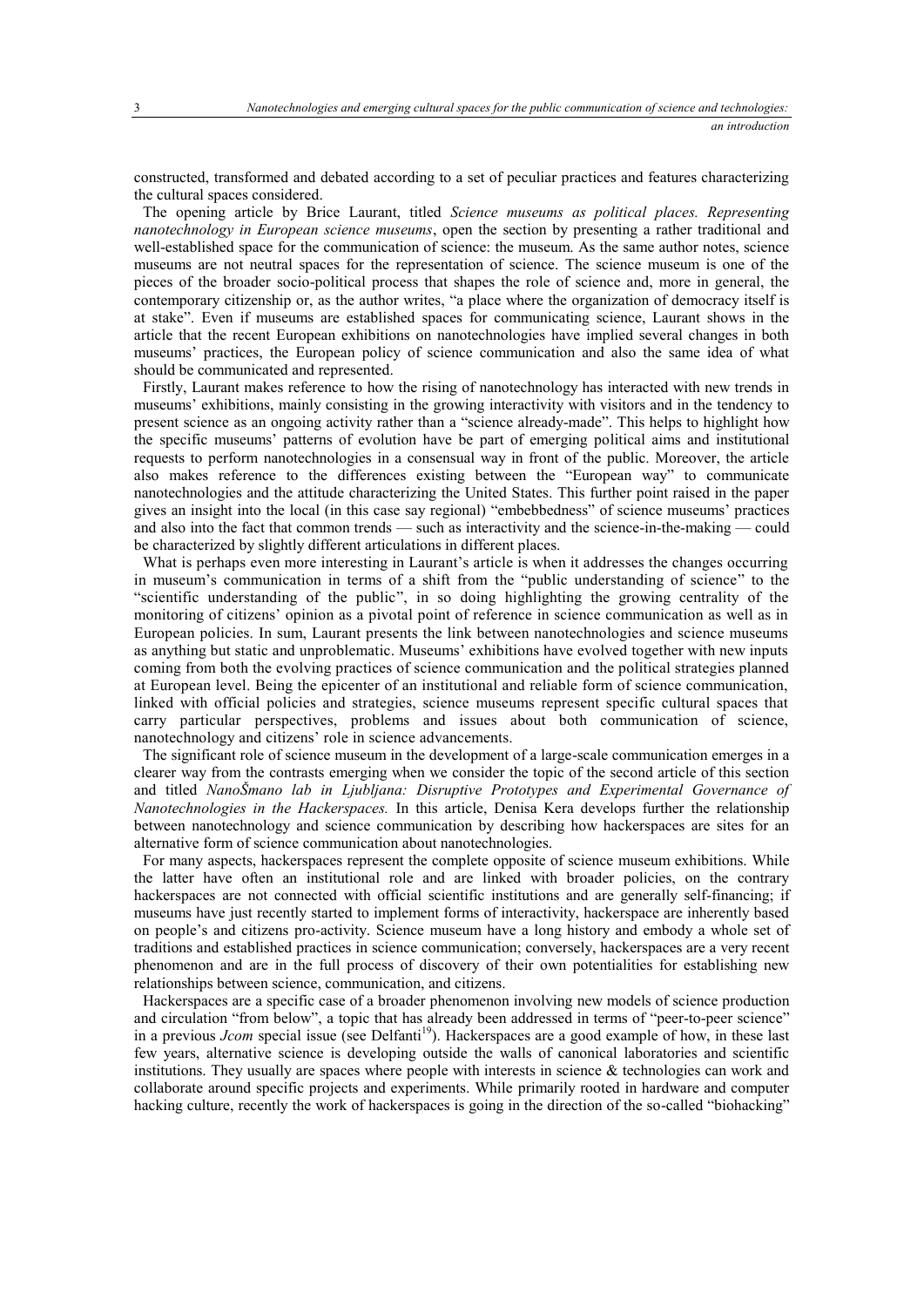constructed, transformed and debated according to a set of peculiar practices and features characterizing the cultural spaces considered.

The opening article by Brice Laurant, titled *Science museums as political places. Representing nanotechnology in European science museums*, open the section by presenting a rather traditional and well-established space for the communication of science: the museum. As the same author notes, science museums are not neutral spaces for the representation of science. The science museum is one of the pieces of the broader socio-political process that shapes the role of science and, more in general, the contemporary citizenship or, as the author writes, "a place where the organization of democracy itself is at stake". Even if museums are established spaces for communicating science, Laurant shows in the article that the recent European exhibitions on nanotechnologies have implied several changes in both museums' practices, the European policy of science communication and also the same idea of what should be communicated and represented.

Firstly, Laurant makes reference to how the rising of nanotechnology has interacted with new trends in museums' exhibitions, mainly consisting in the growing interactivity with visitors and in the tendency to present science as an ongoing activity rather than a "science already-made". This helps to highlight how the specific museums' patterns of evolution have be part of emerging political aims and institutional requests to perform nanotechnologies in a consensual way in front of the public. Moreover, the article also makes reference to the differences existing between the "European way" to communicate nanotechnologies and the attitude characterizing the United States. This further point raised in the paper gives an insight into the local (in this case say regional) "embebbedness" of science museums' practices and also into the fact that common trends — such as interactivity and the science-in-the-making — could be characterized by slightly different articulations in different places.

What is perhaps even more interesting in Laurant's article is when it addresses the changes occurring in museum's communication in terms of a shift from the "public understanding of science" to the "scientific understanding of the public", in so doing highlighting the growing centrality of the monitoring of citizens' opinion as a pivotal point of reference in science communication as well as in European policies. In sum, Laurant presents the link between nanotechnologies and science museums as anything but static and unproblematic. Museums' exhibitions have evolved together with new inputs coming from both the evolving practices of science communication and the political strategies planned at European level. Being the epicenter of an institutional and reliable form of science communication, linked with official policies and strategies, science museums represent specific cultural spaces that carry particular perspectives, problems and issues about both communication of science, nanotechnology and citizens' role in science advancements.

The significant role of science museum in the development of a large-scale communication emerges in a clearer way from the contrasts emerging when we consider the topic of the second article of this section and titled *NanoŠmano lab in Ljubljana: Disruptive Prototypes and Experimental Governance of Nanotechnologies in the Hackerspaces.* In this article, Denisa Kera develops further the relationship between nanotechnology and science communication by describing how hackerspaces are sites for an alternative form of science communication about nanotechnologies.

For many aspects, hackerspaces represent the complete opposite of science museum exhibitions. While the latter have often an institutional role and are linked with broader policies, on the contrary hackerspaces are not connected with official scientific institutions and are generally self-financing; if museums have just recently started to implement forms of interactivity, hackerspace are inherently based on people's and citizens pro-activity. Science museum have a long history and embody a whole set of traditions and established practices in science communication; conversely, hackerspaces are a very recent phenomenon and are in the full process of discovery of their own potentialities for establishing new relationships between science, communication, and citizens.

Hackerspaces are a specific case of a broader phenomenon involving new models of science production and circulation "from below", a topic that has already been addressed in terms of "peer-to-peer science" in a previous *Jcom* special issue (see Delfanti<sup>19</sup>). Hackerspaces are a good example of how, in these last few years, alternative science is developing outside the walls of canonical laboratories and scientific institutions. They usually are spaces where people with interests in science  $\&$  technologies can work and collaborate around specific projects and experiments. While primarily rooted in hardware and computer hacking culture, recently the work of hackerspaces is going in the direction of the so-called "biohacking"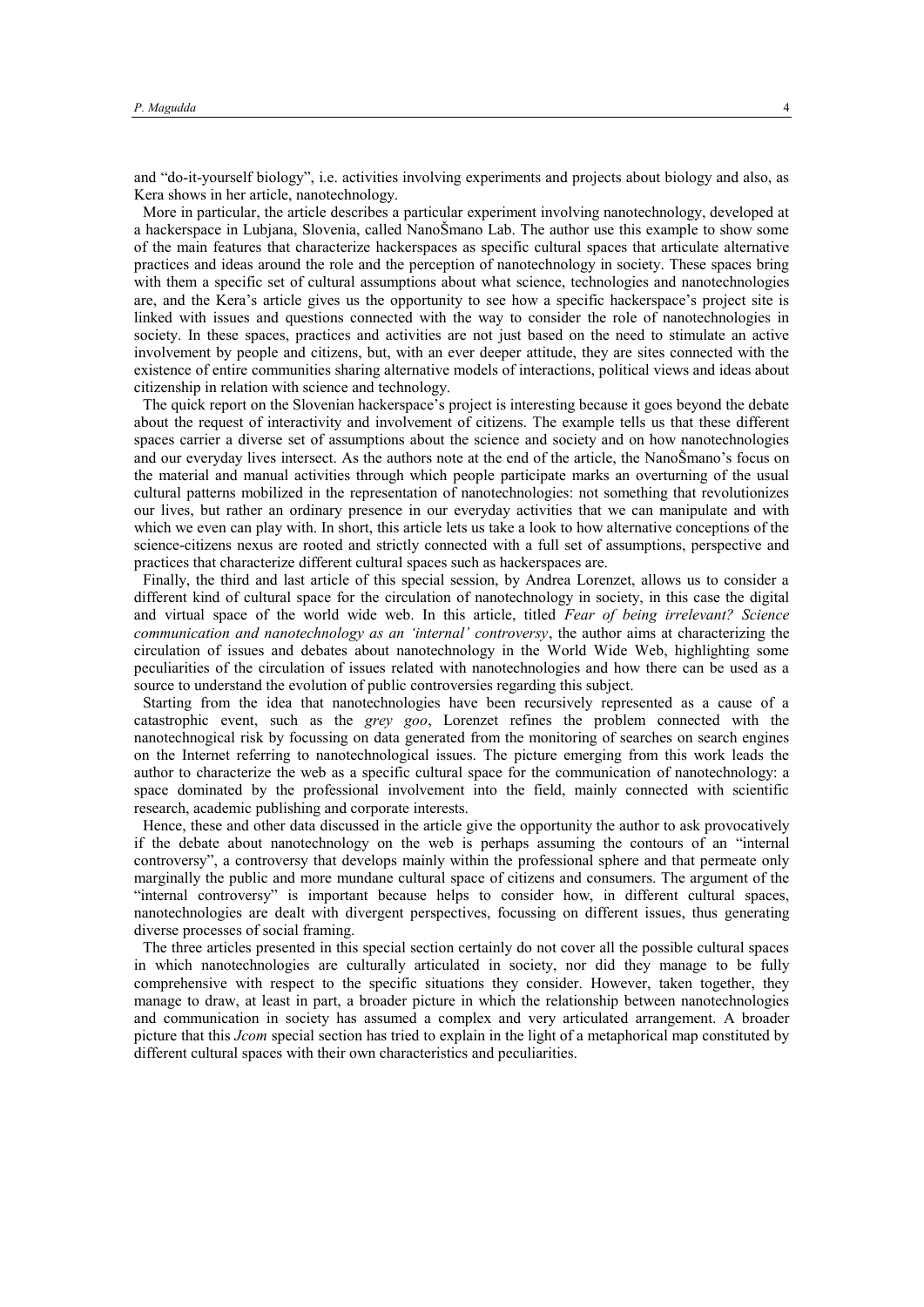and "do-it-yourself biology", i.e. activities involving experiments and projects about biology and also, as Kera shows in her article, nanotechnology.

More in particular, the article describes a particular experiment involving nanotechnology, developed at a hackerspace in Lubjana, Slovenia, called NanoŠmano Lab. The author use this example to show some of the main features that characterize hackerspaces as specific cultural spaces that articulate alternative practices and ideas around the role and the perception of nanotechnology in society. These spaces bring with them a specific set of cultural assumptions about what science, technologies and nanotechnologies are, and the Kera's article gives us the opportunity to see how a specific hackerspace's project site is linked with issues and questions connected with the way to consider the role of nanotechnologies in society. In these spaces, practices and activities are not just based on the need to stimulate an active involvement by people and citizens, but, with an ever deeper attitude, they are sites connected with the existence of entire communities sharing alternative models of interactions, political views and ideas about citizenship in relation with science and technology.

The quick report on the Slovenian hackerspace's project is interesting because it goes beyond the debate about the request of interactivity and involvement of citizens. The example tells us that these different spaces carrier a diverse set of assumptions about the science and society and on how nanotechnologies and our everyday lives intersect. As the authors note at the end of the article, the NanoŠmano's focus on the material and manual activities through which people participate marks an overturning of the usual cultural patterns mobilized in the representation of nanotechnologies: not something that revolutionizes our lives, but rather an ordinary presence in our everyday activities that we can manipulate and with which we even can play with. In short, this article lets us take a look to how alternative conceptions of the science-citizens nexus are rooted and strictly connected with a full set of assumptions, perspective and practices that characterize different cultural spaces such as hackerspaces are.

Finally, the third and last article of this special session, by Andrea Lorenzet, allows us to consider a different kind of cultural space for the circulation of nanotechnology in society, in this case the digital and virtual space of the world wide web. In this article, titled *Fear of being irrelevant? Science communication and nanotechnology as an 'internal' controversy*, the author aims at characterizing the circulation of issues and debates about nanotechnology in the World Wide Web, highlighting some peculiarities of the circulation of issues related with nanotechnologies and how there can be used as a source to understand the evolution of public controversies regarding this subject.

Starting from the idea that nanotechnologies have been recursively represented as a cause of a catastrophic event, such as the *grey goo*, Lorenzet refines the problem connected with the nanotechnogical risk by focussing on data generated from the monitoring of searches on search engines on the Internet referring to nanotechnological issues. The picture emerging from this work leads the author to characterize the web as a specific cultural space for the communication of nanotechnology: a space dominated by the professional involvement into the field, mainly connected with scientific research, academic publishing and corporate interests.

Hence, these and other data discussed in the article give the opportunity the author to ask provocatively if the debate about nanotechnology on the web is perhaps assuming the contours of an "internal controversy", a controversy that develops mainly within the professional sphere and that permeate only marginally the public and more mundane cultural space of citizens and consumers. The argument of the "internal controversy" is important because helps to consider how, in different cultural spaces, nanotechnologies are dealt with divergent perspectives, focussing on different issues, thus generating diverse processes of social framing.

The three articles presented in this special section certainly do not cover all the possible cultural spaces in which nanotechnologies are culturally articulated in society, nor did they manage to be fully comprehensive with respect to the specific situations they consider. However, taken together, they manage to draw, at least in part, a broader picture in which the relationship between nanotechnologies and communication in society has assumed a complex and very articulated arrangement. A broader picture that this *Jcom* special section has tried to explain in the light of a metaphorical map constituted by different cultural spaces with their own characteristics and peculiarities.